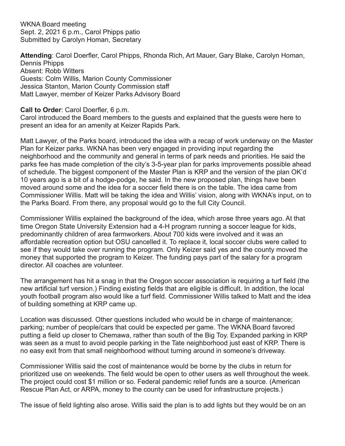WKNA Board meeting Sept. 2, 2021 6 p.m., Carol Phipps patio Submitted by Carolyn Homan, Secretary

**Attending**: Carol Doerfler, Carol Phipps, Rhonda Rich, Art Mauer, Gary Blake, Carolyn Homan, Dennis Phipps Absent: Robb Witters Guests: Colm Willis, Marion County Commissioner Jessica Stanton, Marion County Commission staff Matt Lawyer, member of Keizer Parks Advisory Board

#### **Call to Order**: Carol Doerfler, 6 p.m.

Carol introduced the Board members to the guests and explained that the guests were here to present an idea for an amenity at Keizer Rapids Park.

Matt Lawyer, of the Parks board, introduced the idea with a recap of work underway on the Master Plan for Keizer parks. WKNA has been very engaged in providing input regarding the neighborhood and the community and general in terms of park needs and priorities. He said the parks fee has made completion of the city's 3-5-year plan for parks improvements possible ahead of schedule. The biggest component of the Master Plan is KRP and the version of the plan OK'd 10 years ago is a bit of a hodge-podge, he said. In the new proposed plan, things have been moved around some and the idea for a soccer field there is on the table. The idea came from Commissioner Willis. Matt will be taking the idea and Willis' vision, along with WKNA's input, on to the Parks Board. From there, any proposal would go to the full City Council.

Commissioner Willis explained the background of the idea, which arose three years ago. At that time Oregon State University Extension had a 4-H program running a soccer league for kids, predominantly children of area farmworkers. About 700 kids were involved and it was an affordable recreation option but OSU cancelled it. To replace it, local soccer clubs were called to see if they would take over running the program. Only Keizer said yes and the county moved the money that supported the program to Keizer. The funding pays part of the salary for a program director. All coaches are volunteer.

The arrangement has hit a snag in that the Oregon soccer association is requiring a turf field (the new artificial turf version.) Finding existing fields that are eligible is difficult. In addition, the local youth football program also would like a turf field. Commissioner Willis talked to Matt and the idea of building something at KRP came up.

Location was discussed. Other questions included who would be in charge of maintenance; parking; number of people/cars that could be expected per game. The WKNA Board favored putting a field up closer to Chemawa, rather than south of the Big Toy. Expanded parking in KRP was seen as a must to avoid people parking in the Tate neighborhood just east of KRP. There is no easy exit from that small neighborhood without turning around in someone's driveway.

Commissioner Willis said the cost of maintenance would be borne by the clubs in return for prioritized use on weekends. The field would be open to other users as well throughout the week. The project could cost \$1 million or so. Federal pandemic relief funds are a source. (American Rescue Plan Act, or ARPA, money to the county can be used for infrastructure projects.)

The issue of field lighting also arose. Willis said the plan is to add lights but they would be on an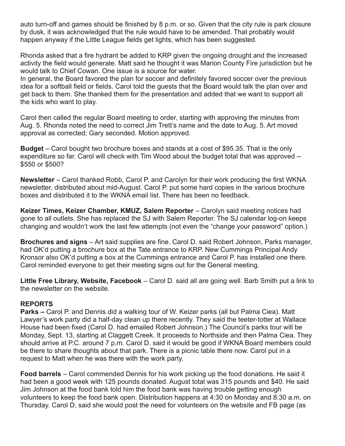auto turn-off and games should be finished by 8 p.m. or so. Given that the city rule is park closure by dusk, it was acknowledged that the rule would have to be amended. That probably would happen anyway if the Little League fields get lights, which has been suggested.

Rhonda asked that a fire hydrant be added to KRP given the ongoing drought and the increased activity the field would generate. Matt said he thought it was Marion County Fire jurisdiction but he would talk to Chief Cowan. One issue is a source for water.

In general, the Board favored the plan for soccer and definitely favored soccer over the previous idea for a softball field or fields. Carol told the guests that the Board would talk the plan over and get back to them. She thanked them for the presentation and added that we want to support all the kids who want to play.

Carol then called the regular Board meeting to order, starting with approving the minutes from Aug. 5. Rhonda noted the need to correct Jim Trett's name and the date to Aug. 5. Art moved approval as corrected; Gary seconded. Motion approved.

**Budget** – Carol bought two brochure boxes and stands at a cost of \$95.35. That is the only expenditure so far. Carol will check with Tim Wood about the budget total that was approved -- \$550 or \$500?

**Newsletter** – Carol thanked Robb, Carol P. and Carolyn for their work producing the first WKNA newsletter, distributed about mid-August. Carol P. put some hard copies in the various brochure boxes and distributed it to the WKNA email list. There has been no feedback.

**Keizer Times, Keizer Chamber, KMUZ, Salem Reporter** – Carolyn said meeting notices had gone to all outlets. She has replaced the SJ with Salem Reporter. The SJ calendar log-on keeps changing and wouldn't work the last few attempts (not even the "change your password" option.)

**Brochures and signs** – Art said supplies are fine. Carol D. said Robert Johnson, Parks manager, had OK'd putting a brochure box at the Tate entrance to KRP. New Cummings Principal Andy Kronsor also OK'd putting a box at the Cummings entrance and Carol P. has installed one there. Carol reminded everyone to get their meeting signs out for the General meeting.

**Little Free Library, Website, Facebook** – Carol D. said all are going well. Barb Smith put a link to the newsletter on the website.

# **REPORTS**

**Parks –** Carol P. and Dennis did a walking tour of W. Keizer parks (all but Palma Ciea). Matt Lawyer's work party did a half-day clean up there recently. They said the teeter-totter at Wallace House had been fixed (Carol D. had emailed Robert Johnson.) The Council's parks tour will be Monday, Sept. 13, starting at Claggett Creek. It proceeds to Northside and then Palma Ciea. They should arrive at P.C. around 7 p.m. Carol D. said it would be good if WKNA Board members could be there to share thoughts about that park. There is a picnic table there now. Carol put in a request to Matt when he was there with the work party.

**Food barrels** – Carol commended Dennis for his work picking up the food donations. He said it had been a good week with 125 pounds donated. August total was 315 pounds and \$40. He said Jim Johnson at the food bank told him the food bank was having trouble getting enough volunteers to keep the food bank open. Distribution happens at 4:30 on Monday and 8:30 a.m. on Thursday. Carol D. said she would post the need for volunteers on the website and FB page (as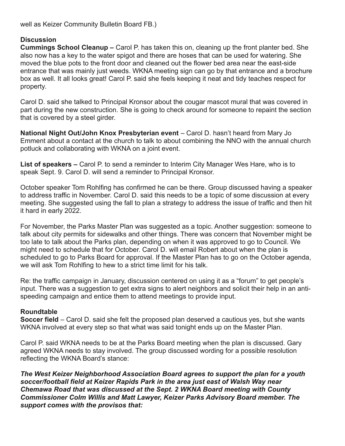well as Keizer Community Bulletin Board FB.)

## **Discussion**

**Cummings School Cleanup –** Carol P. has taken this on, cleaning up the front planter bed. She also now has a key to the water spigot and there are hoses that can be used for watering. She moved the blue pots to the front door and cleaned out the flower bed area near the east-side entrance that was mainly just weeds. WKNA meeting sign can go by that entrance and a brochure box as well. It all looks great! Carol P. said she feels keeping it neat and tidy teaches respect for property.

Carol D. said she talked to Principal Kronsor about the cougar mascot mural that was covered in part during the new construction. She is going to check around for someone to repaint the section that is covered by a steel girder.

**National Night Out/John Knox Presbyterian event** – Carol D. hasn't heard from Mary Jo Emment about a contact at the church to talk to about combining the NNO with the annual church potluck and collaborating with WKNA on a joint event.

**List of speakers –** Carol P. to send a reminder to Interim City Manager Wes Hare, who is to speak Sept. 9. Carol D. will send a reminder to Principal Kronsor.

October speaker Tom Rohlfing has confirmed he can be there. Group discussed having a speaker to address traffic in November. Carol D. said this needs to be a topic of some discussion at every meeting. She suggested using the fall to plan a strategy to address the issue of traffic and then hit it hard in early 2022.

For November, the Parks Master Plan was suggested as a topic. Another suggestion: someone to talk about city permits for sidewalks and other things. There was concern that November might be too late to talk about the Parks plan, depending on when it was approved to go to Council. We might need to schedule that for October. Carol D. will email Robert about when the plan is scheduled to go to Parks Board for approval. If the Master Plan has to go on the October agenda, we will ask Tom Rohlfing to hew to a strict time limit for his talk.

Re: the traffic campaign in January, discussion centered on using it as a "forum" to get people's input. There was a suggestion to get extra signs to alert neighbors and solicit their help in an antispeeding campaign and entice them to attend meetings to provide input.

#### **Roundtable**

**Soccer field** – Carol D. said she felt the proposed plan deserved a cautious yes, but she wants WKNA involved at every step so that what was said tonight ends up on the Master Plan.

Carol P. said WKNA needs to be at the Parks Board meeting when the plan is discussed. Gary agreed WKNA needs to stay involved. The group discussed wording for a possible resolution reflecting the WKNA Board's stance:

*The West Keizer Neighborhood Association Board agrees to support the plan for a youth soccer/football field at Keizer Rapids Park in the area just east of Walsh Way near Chemawa Road that was discussed at the Sept. 2 WKNA Board meeting with County Commissioner Colm Willis and Matt Lawyer, Keizer Parks Advisory Board member. The support comes with the provisos that:*